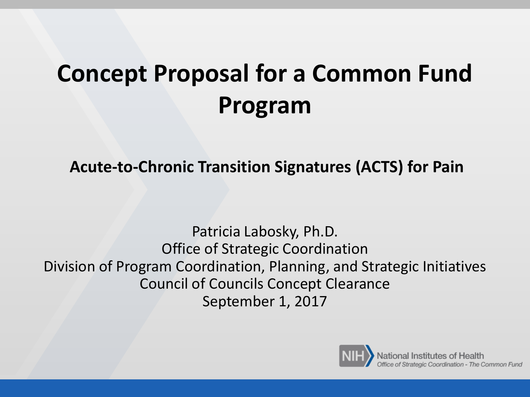# **Concept Proposal for a Common Fund Program**

**Acute-to-Chronic Transition Signatures (ACTS) for Pain** 

Patricia Labosky, Ph.D. Office of Strategic Coordination Division of Program Coordination, Planning, and Strategic Initiatives Council of Councils Concept Clearance September 1, 2017

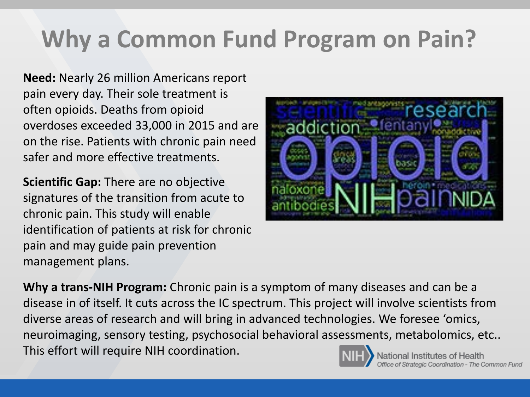# **Why a Common Fund Program on Pain?**

**Need:** Nearly 26 million Americans report pain every day. Their sole treatment is often opioids. Deaths from opioid overdoses exceeded 33,000 in 2015 and are on the rise. Patients with chronic pain need safer and more effective treatments.

**Scientific Gap:** There are no objective signatures of the transition from acute to chronic pain. This study will enable identification of patients at risk for chronic pain and may guide pain prevention management plans.



**Why a trans-NIH Program:** Chronic pain is a symptom of many diseases and can be a disease in of itself. It cuts across the IC spectrum. This project will involve scientists from diverse areas of research and will bring in advanced technologies. We foresee 'omics, neuroimaging, sensory testing, psychosocial behavioral assessments, metabolomics, etc.. This effort will require NIH coordination.**National Institutes of Health** 



Strategic Coordination - The Common Fund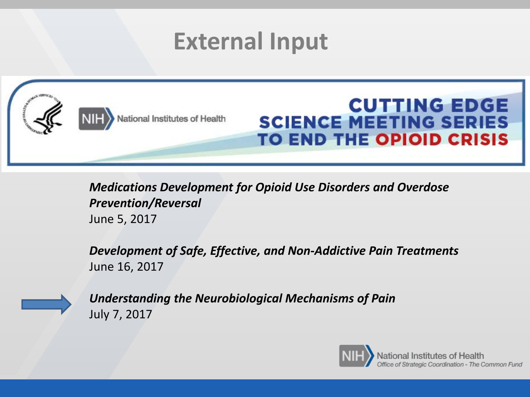### **External Input**



#### **CUTTING EDGE SCIENCE MEETING SERIES TO END THE OPIOID CRISIS**

*Medications Development for Opioid Use Disorders and Overdose Prevention/Reversal*  June 5, 2017

*Development of Safe, Effective, and Non-Addictive Pain Treatments*  June 16, 2017



*Understanding the Neurobiological Mechanisms of Pain*  July 7, 2017

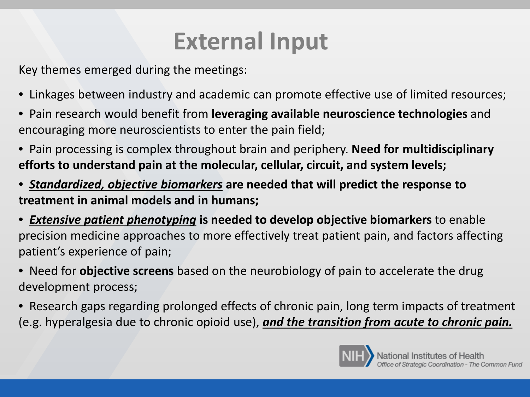## **External Input**

Key themes emerged during the meetings:

- Linkages between industry and academic can promote effective use of limited resources;
- Pain research would benefit from **leveraging available neuroscience technologies** and encouraging more neuroscientists to enter the pain field;
- Pain processing is complex throughout brain and periphery. **Need for multidisciplinary efforts to understand pain at the molecular, cellular, circuit, and system levels;**
- *Standardized, objective biomarkers* **are needed that will predict the response to treatment in animal models and in humans;**
- *Extensive patient phenotyping* **is needed to develop objective biomarkers** to enable precision medicine approaches to more effectively treat patient pain, and factors affecting patient's experience of pain;
- Need for **objective screens** based on the neurobiology of pain to accelerate the drug development process;
- Research gaps regarding prolonged effects of chronic pain, long term impacts of treatment (e.g. hyperalgesia due to chronic opioid use), *and the transition from acute to chronic pain.*

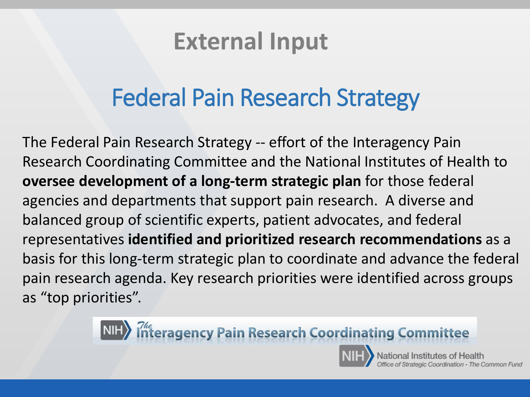### **External Input**

## Federal Pain Research Strategy

The Federal Pain Research Strategy -- effort of the Interagency Pain Research Coordinating Committee and the National Institutes of Health to **oversee development of a long-term strategic plan** for those federal agencies and departments that support pain research. A diverse and balanced group of scientific experts, patient advocates, and federal representatives **identified and prioritized research recommendations** as a basis for this long-term strategic plan to coordinate and advance the federal pain research agenda. Key research priorities were identified across groups as "top priorities".

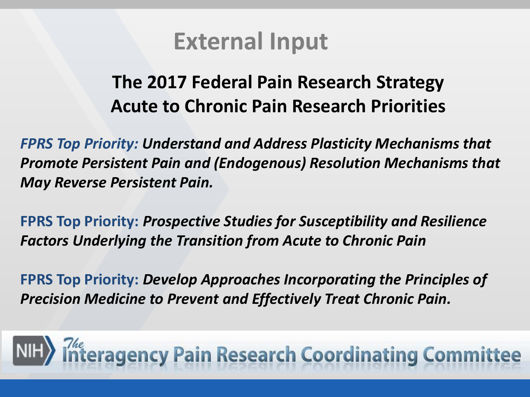

### **The 2017 Federal Pain Research Strategy Acute to Chronic Pain Research Priorities**

*FPRS Top Priority: Understand and Address Plasticity Mechanisms that Promote Persistent Pain and (Endogenous) Resolution Mechanisms that May Reverse Persistent Pain.* 

**FPRS Top Priority:** *Prospective Studies for Susceptibility and Resilience Factors Underlying the Transition from Acute to Chronic Pain* 

**FPRS Top Priority:** *Develop Approaches Incorporating the Principles of Precision Medicine to Prevent and Effectively Treat Chronic Pain.* 

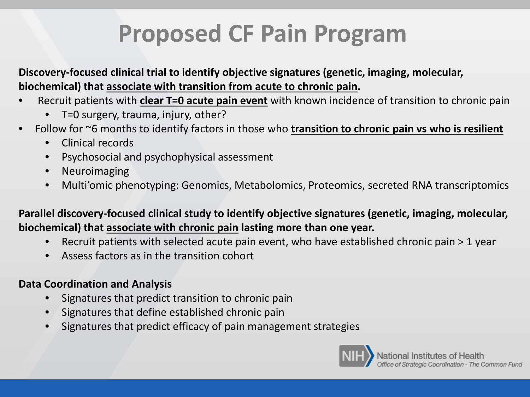## **Proposed CF Pain Program**

**Discovery-focused clinical trial to identify objective signatures (genetic, imaging, molecular, biochemical) that associate with transition from acute to chronic pain.**

- Recruit patients with **clear T=0 acute pain event** with known incidence of transition to chronic pain
	- T=0 surgery, trauma, injury, other?
- Follow for ~6 months to identify factors in those who **transition to chronic pain vs who is resilient**
	- Clinical records
	- Psychosocial and psychophysical assessment
	- Neuroimaging
	- Multi'omic phenotyping: Genomics, Metabolomics, Proteomics, secreted RNA transcriptomics
- **Parallel discovery-focused clinical study to identify objective signatures (genetic, imaging, molecular, biochemical) that associate with chronic pain lasting more than one year.** 
	- Recruit patients with selected acute pain event, who have established chronic pain > 1 year
	- Assess factors as in the transition cohort

#### **Data Coordination and Analysis**

- Signatures that predict transition to chronic pain
- Signatures that define established chronic pain
- Signatures that predict efficacy of pain management strategies

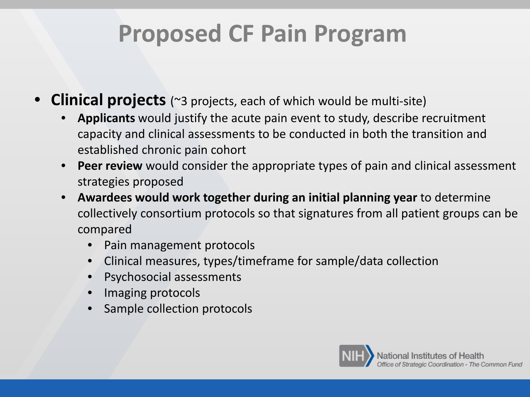# **Proposed CF Pain Program**

- **Clinical projects** (~3 projects, each of which would be multi-site)
	- **Applicants** would justify the acute pain event to study, describe recruitment capacity and clinical assessments to be conducted in both the transition and established chronic pain cohort
	- **Peer review** would consider the appropriate types of pain and clinical assessment strategies proposed
	- **Awardees would work together during an initial planning year** to determine collectively consortium protocols so that signatures from all patient groups can be compared
		- Pain management protocols
		- Clinical measures, types/timeframe for sample/data collection
		- Psychosocial assessments
		- Imaging protocols
		- Sample collection protocols

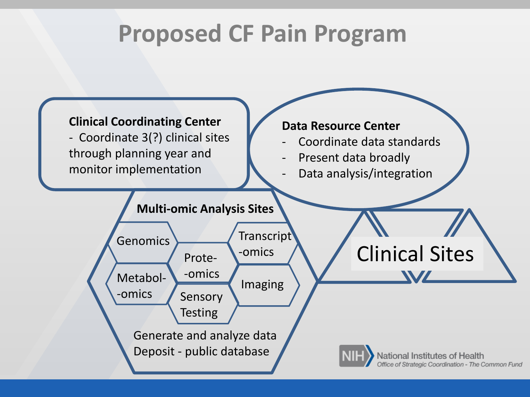### **Proposed CF Pain Program**